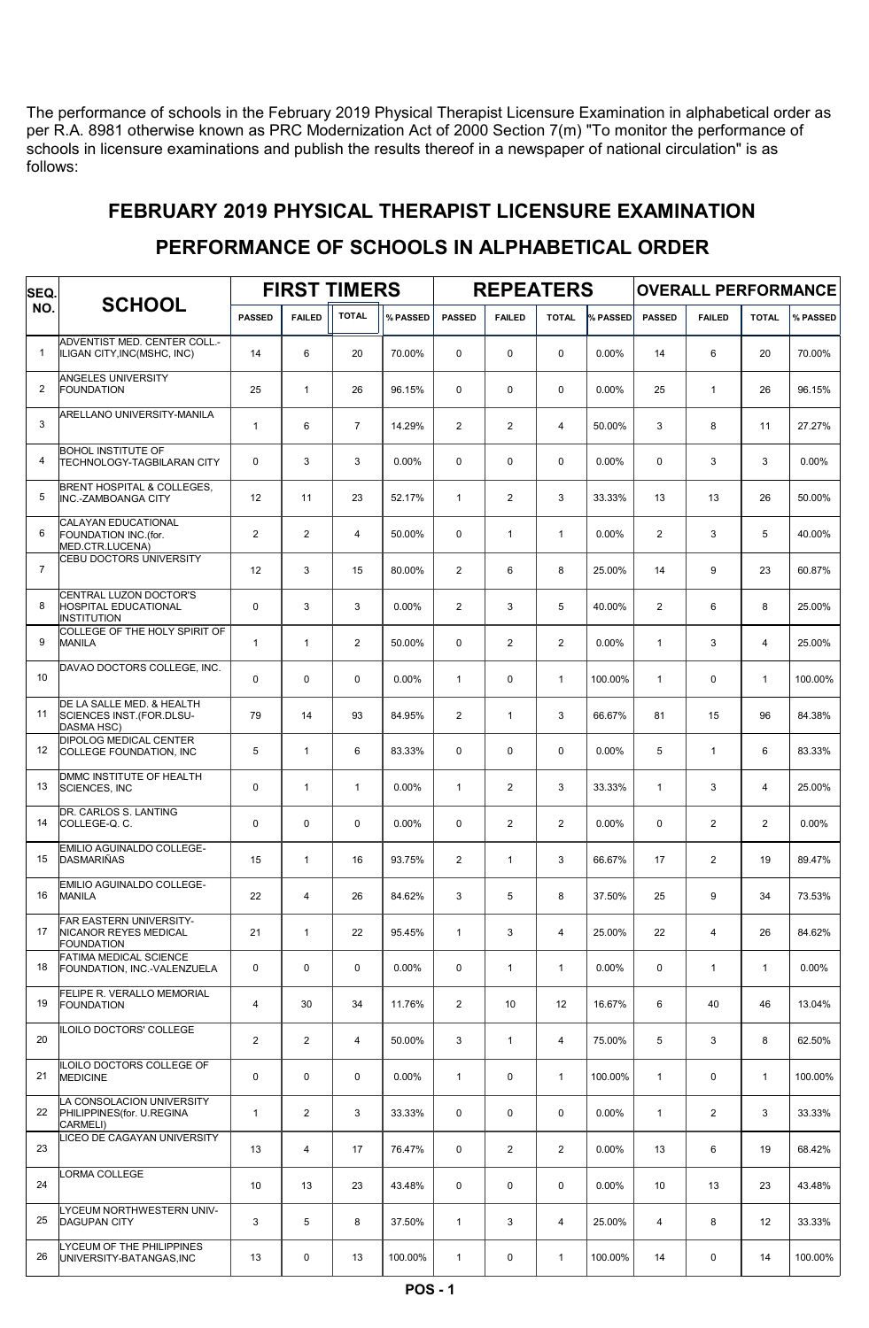The performance of schools in the February 2019 Physical Therapist Licensure Examination in alphabetical order as per R.A. 8981 otherwise known as PRC Modernization Act of 2000 Section 7(m) "To monitor the performance of schools in licensure examinations and publish the results thereof in a newspaper of national circulation" is as follows:

| SEQ.           |                                                                              |                | <b>FIRST TIMERS</b> |                |          |                | <b>REPEATERS</b> |                |          | <b>OVERALL PERFORMANCE</b> |                |                |          |  |
|----------------|------------------------------------------------------------------------------|----------------|---------------------|----------------|----------|----------------|------------------|----------------|----------|----------------------------|----------------|----------------|----------|--|
| NO.            | <b>SCHOOL</b>                                                                | <b>PASSED</b>  | <b>FAILED</b>       | <b>TOTAL</b>   | % PASSED | <b>PASSED</b>  | <b>FAILED</b>    | <b>TOTAL</b>   | % PASSED | <b>PASSED</b>              | <b>FAILED</b>  | <b>TOTAL</b>   | % PASSED |  |
| $\mathbf{1}$   | ADVENTIST MED. CENTER COLL.-<br>ILIGAN CITY, INC(MSHC, INC)                  | 14             | 6                   | 20             | 70.00%   | 0              | $\mathbf 0$      | $\mathbf 0$    | 0.00%    | 14                         | 6              | 20             | 70.00%   |  |
| 2              | ANGELES UNIVERSITY<br><b>FOUNDATION</b>                                      | 25             | $\mathbf{1}$        | 26             | 96.15%   | $\mathbf 0$    | $\mathbf 0$      | $\mathbf 0$    | 0.00%    | 25                         | $\mathbf{1}$   | 26             | 96.15%   |  |
| 3              | ARELLANO UNIVERSITY-MANILA                                                   | $\mathbf{1}$   | 6                   | $\overline{7}$ | 14.29%   | $\overline{2}$ | $\overline{2}$   | $\overline{4}$ | 50.00%   | 3                          | 8              | 11             | 27.27%   |  |
| 4              | <b>BOHOL INSTITUTE OF</b><br><b>TECHNOLOGY-TAGBILARAN CITY</b>               | 0              | 3                   | 3              | 0.00%    | 0              | $\mathbf 0$      | $\mathbf 0$    | 0.00%    | 0                          | 3              | 3              | 0.00%    |  |
| 5              | BRENT HOSPITAL & COLLEGES,<br><b>INC.-ZAMBOANGA CITY</b>                     | 12             | 11                  | 23             | 52.17%   | $\mathbf{1}$   | $\overline{2}$   | 3              | 33.33%   | 13                         | 13             | 26             | 50.00%   |  |
| 6              | CALAYAN EDUCATIONAL<br>FOUNDATION INC.(for.<br>MED.CTR.LUCENA)               | $\overline{2}$ | $\overline{2}$      | $\overline{4}$ | 50.00%   | 0              | $\mathbf{1}$     | $\mathbf{1}$   | 0.00%    | $\overline{2}$             | 3              | 5              | 40.00%   |  |
| $\overline{7}$ | CEBU DOCTORS UNIVERSITY                                                      | 12             | 3                   | 15             | 80.00%   | $\overline{2}$ | 6                | 8              | 25.00%   | 14                         | 9              | 23             | 60.87%   |  |
| 8              | CENTRAL LUZON DOCTOR'S<br><b>HOSPITAL EDUCATIONAL</b><br><b>INSTITUTION</b>  | $\mathbf 0$    | 3                   | 3              | 0.00%    | $\overline{2}$ | 3                | 5              | 40.00%   | $\mathbf{2}$               | 6              | 8              | 25.00%   |  |
| 9              | COLLEGE OF THE HOLY SPIRIT OF<br><b>MANILA</b>                               | $\mathbf{1}$   | $\mathbf{1}$        | $\overline{2}$ | 50.00%   | $\mathbf 0$    | $\overline{2}$   | 2              | 0.00%    | $\mathbf{1}$               | 3              | 4              | 25.00%   |  |
| 10             | DAVAO DOCTORS COLLEGE, INC.                                                  | 0              | $\mathbf 0$         | $\mathbf 0$    | 0.00%    | $\mathbf{1}$   | $\mathbf 0$      | $\mathbf{1}$   | 100.00%  | $\mathbf{1}$               | $\mathbf 0$    | $\mathbf{1}$   | 100.00%  |  |
| 11             | DE LA SALLE MED. & HEALTH<br>SCIENCES INST.(FOR.DLSU-<br>DASMA HSC)          | 79             | 14                  | 93             | 84.95%   | $\overline{2}$ | $\mathbf{1}$     | 3              | 66.67%   | 81                         | 15             | 96             | 84.38%   |  |
| 12             | <b>DIPOLOG MEDICAL CENTER</b><br>COLLEGE FOUNDATION, INC                     | 5              | $\mathbf{1}$        | 6              | 83.33%   | 0              | $\mathbf 0$      | $\mathbf 0$    | 0.00%    | 5                          | $\mathbf{1}$   | 6              | 83.33%   |  |
| 13             | DMMC INSTITUTE OF HEALTH<br><b>SCIENCES, INC</b>                             | $\mathbf 0$    | $\mathbf{1}$        | $\mathbf{1}$   | 0.00%    | $\mathbf{1}$   | 2                | 3              | 33.33%   | $\mathbf{1}$               | 3              | $\overline{4}$ | 25.00%   |  |
| 14             | DR. CARLOS S. LANTING<br>COLLEGE-Q.C.                                        | $\mathbf 0$    | $\mathbf 0$         | $\mathbf 0$    | 0.00%    | 0              | $\overline{2}$   | 2              | 0.00%    | $\mathbf 0$                | $\overline{2}$ | $\overline{2}$ | 0.00%    |  |
| 15             | EMILIO AGUINALDO COLLEGE-<br><b>DASMARIÑAS</b>                               | 15             | $\mathbf{1}$        | 16             | 93.75%   | $\overline{2}$ | $\mathbf{1}$     | 3              | 66.67%   | 17                         | $\mathbf{2}$   | 19             | 89.47%   |  |
| 16             | EMILIO AGUINALDO COLLEGE-<br><b>MANILA</b>                                   | 22             | 4                   | 26             | 84.62%   | 3              | 5                | 8              | 37.50%   | 25                         | 9              | 34             | 73.53%   |  |
| 17             | <b>FAR EASTERN UNIVERSITY-</b><br>NICANOR REYES MEDICAL<br><b>FOUNDATION</b> | 21             | $\mathbf{1}$        | 22             | 95.45%   | $\mathbf{1}$   | 3                | $\overline{4}$ | 25.00%   | 22                         | $\overline{4}$ | 26             | 84.62%   |  |
| 18             | <b>FATIMA MEDICAL SCIENCE</b><br>FOUNDATION, INC.-VALENZUELA                 | 0              | $\mathbf 0$         | $\mathbf 0$    | $0.00\%$ | 0              | $\mathbf{1}$     | $\mathbf{1}$   | $0.00\%$ | $\mathbf 0$                | $\mathbf{1}$   | $\mathbf{1}$   | $0.00\%$ |  |
| 19             | FELIPE R. VERALLO MEMORIAL<br><b>FOUNDATION</b>                              | $\overline{4}$ | 30                  | 34             | 11.76%   | $\mathbf{2}$   | 10 <sup>1</sup>  | 12             | 16.67%   | 6                          | 40             | 46             | 13.04%   |  |
| 20             | ILOILO DOCTORS' COLLEGE                                                      | $\overline{2}$ | $\overline{2}$      | $\overline{4}$ | 50.00%   | 3              | $\mathbf{1}$     | $\overline{4}$ | 75.00%   | 5                          | 3              | 8              | 62.50%   |  |
| 21             | ILOILO DOCTORS COLLEGE OF<br><b>MEDICINE</b>                                 | $\mathbf 0$    | $\mathbf 0$         | $\mathbf 0$    | $0.00\%$ | $\mathbf{1}$   | $\mathbf 0$      | $\mathbf{1}$   | 100.00%  | $\mathbf{1}$               | $\mathbf 0$    | $\mathbf{1}$   | 100.00%  |  |
| 22             | LA CONSOLACION UNIVERSITY<br>PHILIPPINES(for. U.REGINA<br>CARMELI)           | $\mathbf{1}$   | $\overline{2}$      | 3              | 33.33%   | 0              | 0                | $\mathbf 0$    | $0.00\%$ | $\mathbf{1}$               | $\overline{2}$ | 3              | 33.33%   |  |
| 23             | LICEO DE CAGAYAN UNIVERSITY                                                  | 13             | 4                   | 17             | 76.47%   | 0              | $\overline{2}$   | 2              | 0.00%    | 13                         | 6              | 19             | 68.42%   |  |
| 24             | LORMA COLLEGE                                                                | 10             | 13                  | 23             | 43.48%   | 0              | $\mathsf 0$      | $\mathbf 0$    | 0.00%    | 10                         | 13             | 23             | 43.48%   |  |
| 25             | LYCEUM NORTHWESTERN UNIV-<br><b>DAGUPAN CITY</b>                             | 3              | 5                   | 8              | 37.50%   | $\mathbf{1}$   | 3                | $\overline{4}$ | 25.00%   | 4                          | 8              | 12             | 33.33%   |  |
| 26             | LYCEUM OF THE PHILIPPINES<br>UNIVERSITY-BATANGAS, INC                        | 13             | 0                   | 13             | 100.00%  | $\mathbf{1}$   | $\pmb{0}$        | $\mathbf{1}$   | 100.00%  | 14                         | 0              | 14             | 100.00%  |  |

#### FEBRUARY 2019 PHYSICAL THERAPIST LICENSURE EXAMINATION

PERFORMANCE OF SCHOOLS IN ALPHABETICAL ORDER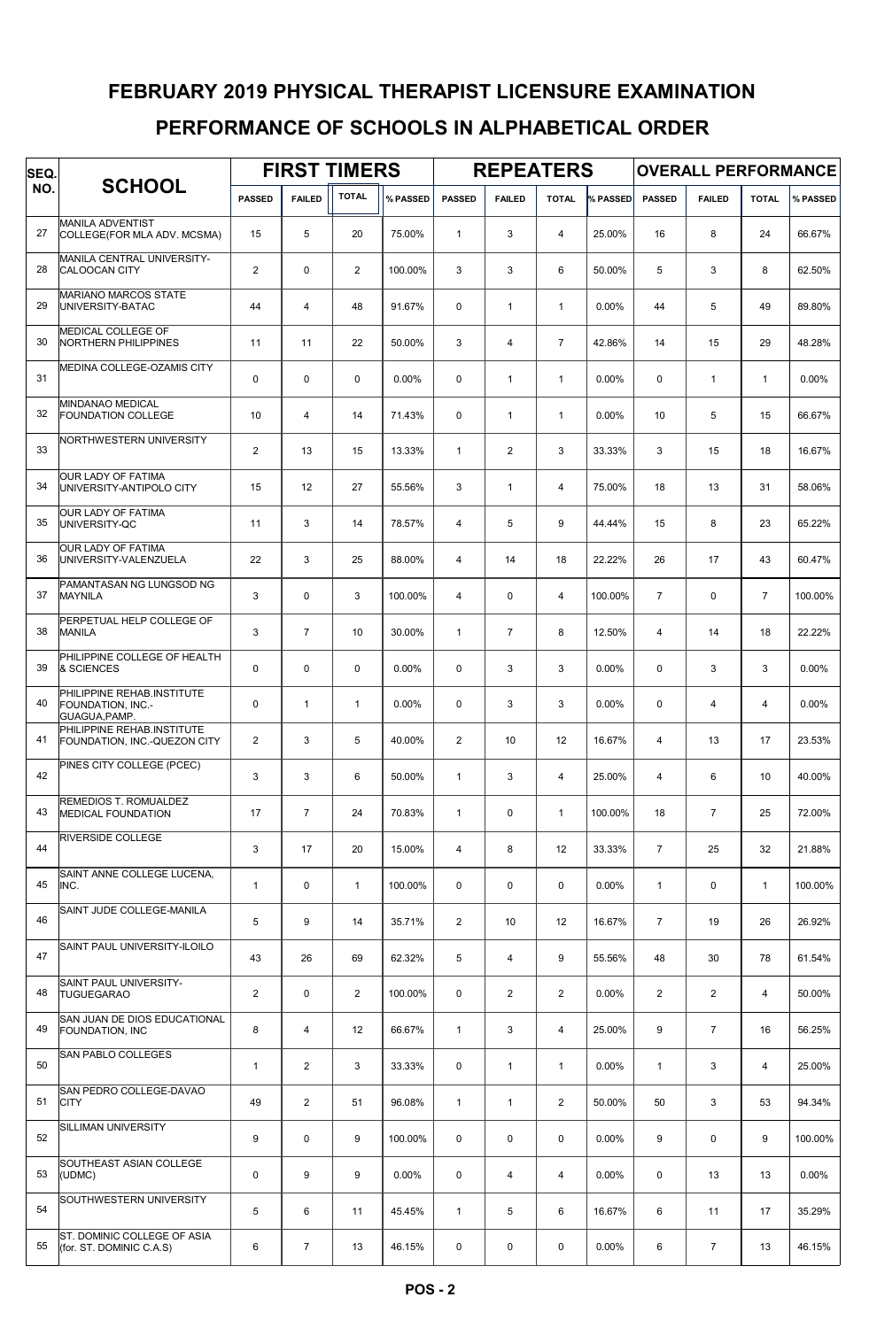# PERFORMANCE OF SCHOOLS IN ALPHABETICAL ORDER FEBRUARY 2019 PHYSICAL THERAPIST LICENSURE EXAMINATION

| SEQ. |                                                                  |                |                | <b>FIRST TIMERS</b> |          | <b>REPEATERS</b> |                |                |          | <b>OVERALL PERFORMANCE</b> |                |                |          |
|------|------------------------------------------------------------------|----------------|----------------|---------------------|----------|------------------|----------------|----------------|----------|----------------------------|----------------|----------------|----------|
| NO.  | <b>SCHOOL</b>                                                    | <b>PASSED</b>  | <b>FAILED</b>  | <b>TOTAL</b>        | % PASSED | <b>PASSED</b>    | <b>FAILED</b>  | <b>TOTAL</b>   | % PASSED | <b>PASSED</b>              | <b>FAILED</b>  | <b>TOTAL</b>   | % PASSED |
| 27   | <b>MANILA ADVENTIST</b><br>COLLEGE(FOR MLA ADV. MCSMA)           | 15             | 5              | 20                  | 75.00%   | $\mathbf{1}$     | 3              | $\overline{4}$ | 25.00%   | 16                         | 8              | 24             | 66.67%   |
| 28   | MANILA CENTRAL UNIVERSITY-<br><b>CALOOCAN CITY</b>               | $\overline{2}$ | $\Omega$       | $\overline{2}$      | 100.00%  | 3                | 3              | 6              | 50.00%   | 5                          | 3              | 8              | 62.50%   |
| 29   | <b>MARIANO MARCOS STATE</b><br>UNIVERSITY-BATAC                  | 44             | $\overline{4}$ | 48                  | 91.67%   | $\mathbf 0$      | $\mathbf{1}$   | $\mathbf{1}$   | 0.00%    | 44                         | 5              | 49             | 89.80%   |
| 30   | MEDICAL COLLEGE OF<br>NORTHERN PHILIPPINES                       | 11             | 11             | 22                  | 50.00%   | 3                | $\overline{4}$ | $\overline{7}$ | 42.86%   | 14                         | 15             | 29             | 48.28%   |
| 31   | MEDINA COLLEGE-OZAMIS CITY                                       | 0              | $\mathbf 0$    | $\mathbf 0$         | 0.00%    | $\mathbf 0$      | $\mathbf{1}$   | $\mathbf{1}$   | 0.00%    | $\mathbf 0$                | $\mathbf{1}$   | $\mathbf{1}$   | 0.00%    |
| 32   | <b>MINDANAO MEDICAL</b><br><b>FOUNDATION COLLEGE</b>             | 10             | $\overline{4}$ | 14                  | 71.43%   | $\mathbf 0$      | $\mathbf{1}$   | $\mathbf{1}$   | 0.00%    | 10                         | 5              | 15             | 66.67%   |
| 33   | NORTHWESTERN UNIVERSITY                                          | $\mathbf{2}$   | 13             | 15                  | 13.33%   | $\mathbf{1}$     | $\overline{2}$ | 3              | 33.33%   | 3                          | 15             | 18             | 16.67%   |
| 34   | <b>OUR LADY OF FATIMA</b><br>UNIVERSITY-ANTIPOLO CITY            | 15             | 12             | 27                  | 55.56%   | 3                | $\mathbf{1}$   | $\overline{4}$ | 75.00%   | 18                         | 13             | 31             | 58.06%   |
| 35   | OUR LADY OF FATIMA<br>UNIVERSITY-QC                              | 11             | 3              | 14                  | 78.57%   | 4                | 5              | 9              | 44.44%   | 15                         | 8              | 23             | 65.22%   |
| 36   | <b>OUR LADY OF FATIMA</b><br>UNIVERSITY-VALENZUELA               | 22             | 3              | 25                  | 88.00%   | $\overline{4}$   | 14             | 18             | 22.22%   | 26                         | 17             | 43             | 60.47%   |
| 37   | PAMANTASAN NG LUNGSOD NG<br><b>MAYNILA</b>                       | 3              | $\Omega$       | 3                   | 100.00%  | 4                | $\mathbf 0$    | $\overline{4}$ | 100.00%  | $\overline{7}$             | $\mathbf 0$    | $\overline{7}$ | 100.00%  |
| 38   | PERPETUAL HELP COLLEGE OF<br><b>MANILA</b>                       | 3              | $\overline{7}$ | 10                  | 30.00%   | $\mathbf{1}$     | $\overline{7}$ | 8              | 12.50%   | $\overline{4}$             | 14             | 18             | 22.22%   |
| 39   | PHILIPPINE COLLEGE OF HEALTH<br>& SCIENCES                       | 0              | $\mathbf 0$    | $\mathbf 0$         | 0.00%    | $\mathbf 0$      | 3              | 3              | 0.00%    | $\mathbf 0$                | 3              | 3              | 0.00%    |
| 40   | PHILIPPINE REHAB.INSTITUTE<br>FOUNDATION, INC.-<br>GUAGUA, PAMP. | 0              | $\mathbf{1}$   | $\mathbf{1}$        | 0.00%    | $\mathbf 0$      | 3              | 3              | 0.00%    | $\mathbf 0$                | $\overline{4}$ | $\overline{4}$ | $0.00\%$ |
| 41   | PHILIPPINE REHAB.INSTITUTE<br>FOUNDATION, INC.-QUEZON CITY       | $\overline{2}$ | 3              | 5                   | 40.00%   | $\overline{2}$   | 10             | 12             | 16.67%   | $\overline{4}$             | 13             | 17             | 23.53%   |
| 42   | PINES CITY COLLEGE (PCEC)                                        | 3              | 3              | 6                   | 50.00%   | $\mathbf{1}$     | 3              | $\overline{4}$ | 25.00%   | $\overline{4}$             | 6              | 10             | 40.00%   |
| 43   | REMEDIOS T. ROMUALDEZ<br><b>MEDICAL FOUNDATION</b>               | 17             | $\overline{7}$ | 24                  | 70.83%   | $\mathbf{1}$     | 0              | $\mathbf{1}$   | 100.00%  | 18                         | $\overline{7}$ | 25             | 72.00%   |
| 44   | <b>RIVERSIDE COLLEGE</b>                                         | 3              | 17             | 20                  | 15.00%   | 4                | 8              | 12             | 33.33%   | $\overline{7}$             | 25             | 32             | 21.88%   |
| 45   | SAINT ANNE COLLEGE LUCENA,<br>INC.                               | $\mathbf{1}$   | $\mathbf 0$    | $\mathbf{1}$        | 100.00%  | 0                | $\mathsf 0$    | $\mathbf 0$    | 0.00%    | $\mathbf{1}$               | 0              | $\mathbf{1}$   | 100.00%  |
| 46   | SAINT JUDE COLLEGE-MANILA                                        | 5              | 9              | 14                  | 35.71%   | $\overline{2}$   | 10             | 12             | 16.67%   | $\overline{7}$             | 19             | 26             | 26.92%   |
| 47   | SAINT PAUL UNIVERSITY-ILOILO                                     | 43             | 26             | 69                  | 62.32%   | 5                | 4              | 9              | 55.56%   | 48                         | 30             | 78             | 61.54%   |
| 48   | <b>SAINT PAUL UNIVERSITY-</b><br><b>TUGUEGARAO</b>               | $\overline{2}$ | $\mathbf 0$    | $\overline{2}$      | 100.00%  | $\mathbf 0$      | $\overline{2}$ | $\overline{2}$ | 0.00%    | $\overline{2}$             | $\mathbf{2}$   | $\overline{4}$ | 50.00%   |
| 49   | SAN JUAN DE DIOS EDUCATIONAL<br><b>FOUNDATION, INC</b>           | 8              | 4              | 12                  | 66.67%   | $\mathbf{1}$     | 3              | 4              | 25.00%   | 9                          | $\overline{7}$ | 16             | 56.25%   |
| 50   | <b>SAN PABLO COLLEGES</b>                                        | $\mathbf{1}$   | $\overline{2}$ | 3                   | 33.33%   | 0                | $\mathbf{1}$   | $\mathbf{1}$   | 0.00%    | $\mathbf{1}$               | 3              | $\overline{4}$ | 25.00%   |
| 51   | SAN PEDRO COLLEGE-DAVAO<br><b>CITY</b>                           | 49             | $\overline{2}$ | 51                  | 96.08%   | $\mathbf{1}$     | $\mathbf{1}$   | $\overline{2}$ | 50.00%   | 50                         | 3              | 53             | 94.34%   |
| 52   | SILLIMAN UNIVERSITY                                              | 9              | $\mathbf 0$    | 9                   | 100.00%  | $\mathbf 0$      | $\mathsf 0$    | $\mathbf 0$    | 0.00%    | 9                          | $\pmb{0}$      | 9              | 100.00%  |
| 53   | SOUTHEAST ASIAN COLLEGE<br>(UDMC)                                | 0              | 9              | 9                   | 0.00%    | 0                | $\overline{4}$ | 4              | $0.00\%$ | 0                          | 13             | 13             | $0.00\%$ |
| 54   | SOUTHWESTERN UNIVERSITY                                          | 5              | 6              | 11                  | 45.45%   | 1                | 5              | 6              | 16.67%   | 6                          | 11             | 17             | 35.29%   |
| 55   | ST. DOMINIC COLLEGE OF ASIA<br>(for. ST. DOMINIC C.A.S)          | 6              | $\overline{7}$ | 13                  | 46.15%   | 0                | 0              | $\mathbf 0$    | 0.00%    | 6                          | $\overline{7}$ | 13             | 46.15%   |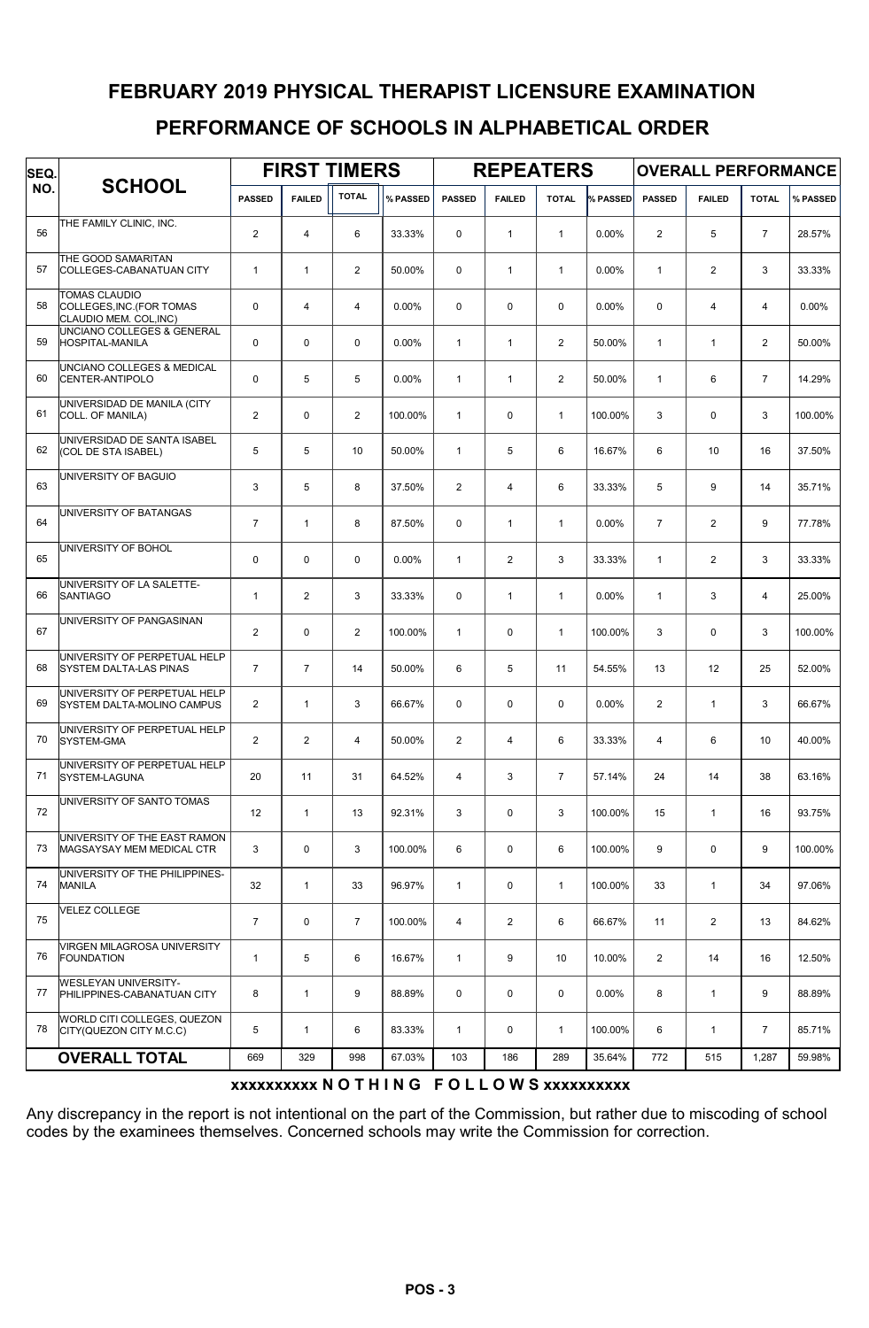## PERFORMANCE OF SCHOOLS IN ALPHABETICAL ORDER FEBRUARY 2019 PHYSICAL THERAPIST LICENSURE EXAMINATION

| SEQ. |                                                                             |                | <b>FIRST TIMERS</b> |                |          |                | <b>REPEATERS</b> |                |          | <b>OVERALL PERFORMANCE</b> |                |                 |          |  |
|------|-----------------------------------------------------------------------------|----------------|---------------------|----------------|----------|----------------|------------------|----------------|----------|----------------------------|----------------|-----------------|----------|--|
| NO.  | <b>SCHOOL</b>                                                               | <b>PASSED</b>  | <b>FAILED</b>       | <b>TOTAL</b>   | % PASSED | <b>PASSED</b>  | <b>FAILED</b>    | <b>TOTAL</b>   | % PASSED | <b>PASSED</b>              | <b>FAILED</b>  | <b>TOTAL</b>    | % PASSED |  |
| 56   | THE FAMILY CLINIC, INC.                                                     | 2              | $\overline{4}$      | 6              | 33.33%   | $\Omega$       | $\mathbf{1}$     | $\mathbf{1}$   | 0.00%    | $\overline{2}$             | 5              | $\overline{7}$  | 28.57%   |  |
| 57   | THE GOOD SAMARITAN<br>COLLEGES-CABANATUAN CITY                              | $\mathbf{1}$   | $\mathbf{1}$        | $\overline{2}$ | 50.00%   | $\mathbf 0$    | $\mathbf{1}$     | $\mathbf{1}$   | 0.00%    | $\mathbf{1}$               | $\overline{2}$ | 3               | 33.33%   |  |
| 58   | <b>TOMAS CLAUDIO</b><br>COLLEGES, INC. (FOR TOMAS<br>CLAUDIO MEM. COL, INC) | $\Omega$       | 4                   | $\overline{4}$ | 0.00%    | $\mathbf 0$    | $\mathbf 0$      | $\mathbf 0$    | 0.00%    | $\mathbf 0$                | $\overline{4}$ | $\overline{4}$  | $0.00\%$ |  |
| 59   | UNCIANO COLLEGES & GENERAL<br><b>HOSPITAL-MANILA</b>                        | $\mathbf 0$    | 0                   | $\mathbf 0$    | 0.00%    | $\mathbf{1}$   | $\mathbf{1}$     | $\overline{2}$ | 50.00%   | $\mathbf{1}$               | $\mathbf{1}$   | $\overline{2}$  | 50.00%   |  |
| 60   | UNCIANO COLLEGES & MEDICAL<br>CENTER-ANTIPOLO                               | $\mathbf 0$    | 5                   | 5              | 0.00%    | $\mathbf{1}$   | $\mathbf{1}$     | $\overline{2}$ | 50.00%   | $\mathbf{1}$               | 6              | $\overline{7}$  | 14.29%   |  |
| 61   | UNIVERSIDAD DE MANILA (CITY<br>COLL. OF MANILA)                             | 2              | 0                   | $\overline{2}$ | 100.00%  | $\mathbf{1}$   | $\mathbf 0$      | $\mathbf{1}$   | 100.00%  | 3                          | 0              | 3               | 100.00%  |  |
| 62   | UNIVERSIDAD DE SANTA ISABEL<br>(COL DE STA ISABEL)                          | 5              | 5                   | 10             | 50.00%   | $\mathbf{1}$   | 5                | 6              | 16.67%   | 6                          | 10             | 16              | 37.50%   |  |
| 63   | UNIVERSITY OF BAGUIO                                                        | 3              | 5                   | 8              | 37.50%   | $\overline{2}$ | $\overline{4}$   | 6              | 33.33%   | 5                          | 9              | 14              | 35.71%   |  |
| 64   | UNIVERSITY OF BATANGAS                                                      | $\overline{7}$ | $\mathbf{1}$        | 8              | 87.50%   | $\mathbf 0$    | $\mathbf{1}$     | $\mathbf{1}$   | 0.00%    | $\overline{7}$             | $\overline{2}$ | 9               | 77.78%   |  |
| 65   | UNIVERSITY OF BOHOL                                                         | $\mathbf 0$    | $\mathbf 0$         | $\mathbf 0$    | 0.00%    | $\mathbf{1}$   | $\overline{2}$   | 3              | 33.33%   | $\mathbf{1}$               | $\mathbf{2}$   | 3               | 33.33%   |  |
| 66   | UNIVERSITY OF LA SALETTE-<br><b>SANTIAGO</b>                                | $\mathbf{1}$   | $\overline{2}$      | 3              | 33.33%   | $\mathbf 0$    | $\mathbf{1}$     | $\mathbf{1}$   | 0.00%    | $\mathbf{1}$               | 3              | 4               | 25.00%   |  |
| 67   | UNIVERSITY OF PANGASINAN                                                    | $\overline{2}$ | $\mathbf 0$         | 2              | 100.00%  | $\mathbf{1}$   | $\mathbf 0$      | $\mathbf{1}$   | 100.00%  | 3                          | 0              | 3               | 100.00%  |  |
| 68   | UNIVERSITY OF PERPETUAL HELP<br><b>SYSTEM DALTA-LAS PINAS</b>               | $\overline{7}$ | $\overline{7}$      | 14             | 50.00%   | 6              | 5                | 11             | 54.55%   | 13                         | 12             | 25              | 52.00%   |  |
| 69   | UNIVERSITY OF PERPETUAL HELP<br><b>ISYSTEM DALTA-MOLINO CAMPUS</b>          | $\overline{2}$ | $\mathbf{1}$        | 3              | 66.67%   | $\mathbf 0$    | $\mathbf 0$      | $\mathbf 0$    | 0.00%    | $\overline{2}$             | $\mathbf{1}$   | 3               | 66.67%   |  |
| 70   | UNIVERSITY OF PERPETUAL HELP<br>SYSTEM-GMA                                  | $\overline{2}$ | $\overline{2}$      | $\overline{4}$ | 50.00%   | $\overline{2}$ | $\overline{4}$   | 6              | 33.33%   | $\overline{4}$             | 6              | 10 <sup>1</sup> | 40.00%   |  |
| 71   | UNIVERSITY OF PERPETUAL HELP<br><b>SYSTEM-LAGUNA</b>                        | 20             | 11                  | 31             | 64.52%   | $\overline{4}$ | 3                | $\overline{7}$ | 57.14%   | 24                         | 14             | 38              | 63.16%   |  |
| 72   | UNIVERSITY OF SANTO TOMAS                                                   | 12             | $\mathbf{1}$        | 13             | 92.31%   | 3              | 0                | 3              | 100.00%  | 15                         | $\mathbf{1}$   | 16              | 93.75%   |  |
| 73   | UNIVERSITY OF THE EAST RAMON<br>MAGSAYSAY MEM MEDICAL CTR                   | 3              | 0                   | 3              | 100.00%  | 6              | 0                | 6              | 100.00%  | 9                          | 0              | 9               | 100.00%  |  |
| 74   | UNIVERSITY OF THE PHILIPPINES-<br><b>MANILA</b>                             | 32             | $\mathbf{1}$        | 33             | 96.97%   | $\mathbf{1}$   | $\mathsf 0$      | $\mathbf{1}$   | 100.00%  | 33                         | $\mathbf{1}$   | 34              | 97.06%   |  |
| 75   | <b>VELEZ COLLEGE</b>                                                        | $\overline{7}$ | $\mathbf 0$         | $\overline{7}$ | 100.00%  | 4              | 2                | 6              | 66.67%   | 11                         | $\overline{2}$ | 13              | 84.62%   |  |
| 76   | VIRGEN MILAGROSA UNIVERSITY<br><b>FOUNDATION</b>                            | $\mathbf{1}$   | 5                   | 6              | 16.67%   | $\mathbf{1}$   | 9                | 10             | 10.00%   | $\overline{2}$             | 14             | 16              | 12.50%   |  |
| 77   | <b>WESLEYAN UNIVERSITY-</b><br>PHILIPPINES-CABANATUAN CITY                  | 8              | $\mathbf{1}$        | 9              | 88.89%   | 0              | $\mathsf 0$      | 0              | 0.00%    | 8                          | $\mathbf{1}$   | 9               | 88.89%   |  |
| 78   | WORLD CITI COLLEGES, QUEZON<br>CITY(QUEZON CITY M.C.C)                      | 5              | $\mathbf{1}$        | 6              | 83.33%   | $\mathbf{1}$   | $\mathsf 0$      | $\mathbf{1}$   | 100.00%  | 6                          | $\mathbf{1}$   | $\overline{7}$  | 85.71%   |  |
|      | <b>OVERALL TOTAL</b>                                                        | 669            | 329                 | 998            | 67.03%   | 103            | 186              | 289            | 35.64%   | 772                        | 515            | 1,287           | 59.98%   |  |

#### xxxxxxxxxx N O T H I N G F O L L O W S xxxxxxxxxx

Any discrepancy in the report is not intentional on the part of the Commission, but rather due to miscoding of school codes by the examinees themselves. Concerned schools may write the Commission for correction.